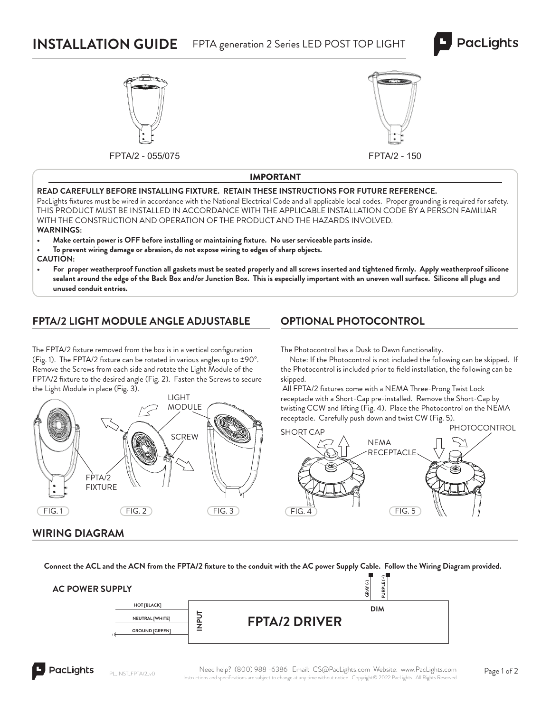# **INSTALLATION GUIDE** FPTA generation 2 Series LED POST TOP LIGHT





FPTA/2 - 055/075 FPTA/2 - 150



#### IMPORTANT

#### **READ CAREFULLY BEFORE INSTALLING FIXTURE. RETAIN THESE INSTRUCTIONS FOR FUTURE REFERENCE.**

PacLights fixtures must be wired in accordance with the National Electrical Code and all applicable local codes. Proper grounding is required for safety. THIS PRODUCT MUST BE INSTALLED IN ACCORDANCE WITH THE APPLICABLE INSTALLATION CODE BY A PERSON FAMILIAR WITH THE CONSTRUCTION AND OPERATION OF THE PRODUCT AND THE HAZARDS INVOLVED. **WARNINGS:**

- **Make certain power is OFF before installing or maintaining fi xture. No user serviceable parts inside.**
- **To prevent wiring damage or abrasion, do not expose wiring to edges of sharp objects. CAUTION:**
- For proper weatherproof function all gaskets must be seated properly and all screws inserted and tightened firmly. Apply weatherproof silicone **sealant around the edge of the Back Box and/or Junction Box. This is especially important with an uneven wall surface. Silicone all plugs and unused conduit entries.**

### **FPTA/2 LIGHT MODULE ANGLE ADJUSTABLE**

The FPTA/2 fixture removed from the box is in a vertical configuration (Fig. 1). The FPTA/2 fixture can be rotated in various angles up to  $\pm$ 90°. Remove the Screws from each side and rotate the Light Module of the FPTA/2 fixture to the desired angle (Fig. 2). Fasten the Screws to secure the Light Module in place (Fig. 3).



# **OPTIONAL PHOTOCONTROL**

The Photocontrol has a Dusk to Dawn functionality.

 Note: If the Photocontrol is not included the following can be skipped. If the Photocontrol is included prior to field installation, the following can be skipped.

All FPTA/2 fixtures come with a NEMA Three-Prong Twist Lock receptacle with a Short-Cap pre-installed. Remove the Short-Cap by twisting CCW and lifting (Fig. 4). Place the Photocontrol on the NEMA receptacle. Carefully push down and twist CW (Fig. 5).



#### **WIRING DIAGRAM**

Connect the ACL and the ACN from the FPTA/2 fixture to the conduit with the AC power Supply Cable. Follow the Wiring Diagram provided.

| <b>AC POWER SUPPLY</b> |   | $\mathcal{F}$<br>土<br>$\overline{\phantom{0}}$<br>ш<br>ت<br>PURP<br>g |  |
|------------------------|---|-----------------------------------------------------------------------|--|
| <b>HOT [BLACK]</b>     |   | <b>DIM</b>                                                            |  |
| NEUTRAL [WHITE]        |   | <b>FPTA/2 DRIVER</b>                                                  |  |
| <b>GROUND [GREEN]</b>  | - |                                                                       |  |
|                        |   |                                                                       |  |